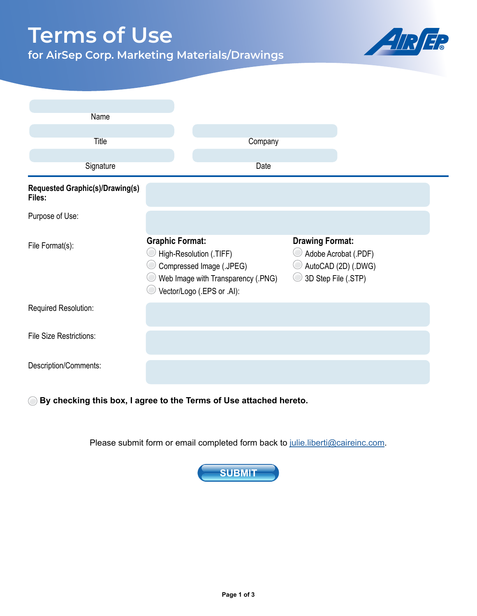## **Terms of Use**

**for AirSep Corp. Marketing Materials/Drawings**



| Name                                      |                                                                                                                                                   |         |                                               |                                             |
|-------------------------------------------|---------------------------------------------------------------------------------------------------------------------------------------------------|---------|-----------------------------------------------|---------------------------------------------|
|                                           |                                                                                                                                                   |         |                                               |                                             |
| <b>Title</b>                              |                                                                                                                                                   | Company |                                               |                                             |
| Signature                                 |                                                                                                                                                   | Date    |                                               |                                             |
| Requested Graphic(s)/Drawing(s)<br>Files: |                                                                                                                                                   |         |                                               |                                             |
| Purpose of Use:                           |                                                                                                                                                   |         |                                               |                                             |
| File Format(s):                           | <b>Graphic Format:</b><br>High-Resolution (.TIFF)<br>Compressed Image (.JPEG)<br>Web Image with Transparency (.PNG)<br>Vector/Logo (.EPS or .Al): |         | <b>Drawing Format:</b><br>3D Step File (.STP) | Adobe Acrobat (.PDF)<br>AutoCAD (2D) (.DWG) |
| Required Resolution:                      |                                                                                                                                                   |         |                                               |                                             |
| <b>File Size Restrictions:</b>            |                                                                                                                                                   |         |                                               |                                             |
| Description/Comments:                     |                                                                                                                                                   |         |                                               |                                             |

**By checking this box, I agree to the Terms of Use attached hereto.**

Please submit form or email completed form back to [julie.liberti@caireinc.com.](mailto:julie.liberti%40caireinc.com?subject=)

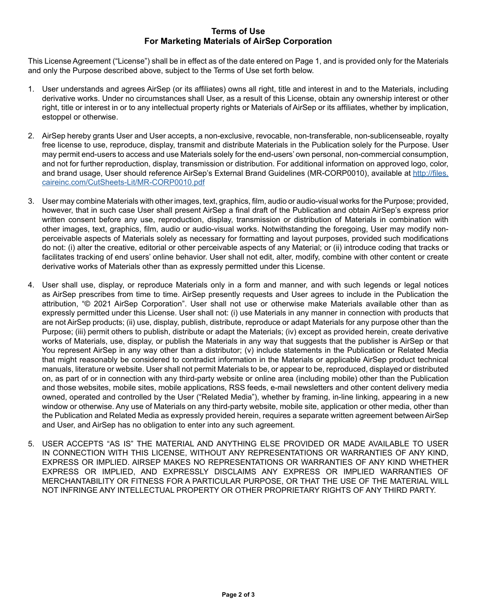## **Terms of Users of Users of Users of Users Terms of Use For Marketing Materials of AirSep Corporation**

This License Agreement ("License") shall be in effect as of the date entered on Page 1, and is provided only for the Materials and only the Purpose described above, subject to the Terms of Use set forth below.

- 1. User understands and agrees AirSep (or its affiliates) owns all right, title and interest in and to the Materials, including derivative works. Under no circumstances shall User, as a result of this License, obtain any ownership interest or other right, title or interest in or to any intellectual property rights or Materials of AirSep or its affiliates, whether by implication, estoppel or otherwise.
- 2. AirSep hereby grants User and User accepts, a non-exclusive, revocable, non-transferable, non-sublicenseable, royalty free license to use, reproduce, display, transmit and distribute Materials in the Publication solely for the Purpose. User may permit end-users to access and use Materials solely for the end-users' own personal, non-commercial consumption, and not for further reproduction, display, transmission or distribution. For additional information on approved logo, color, and brand usage, User should reference AirSep's External Brand Guidelines (MR-CORP0010), available at [http://files.](http://files.caireinc.com/CutSheets-Lit/MR-CORP0010.pdf) [caireinc.com/CutSheets-Lit/MR-CORP0010.pdf](http://files.caireinc.com/CutSheets-Lit/MR-CORP0010.pdf)
- 3. User may combine Materials with other images, text, graphics, film, audio or audio-visual works for the Purpose; provided, however, that in such case User shall present AirSep a final draft of the Publication and obtain AirSep's express prior written consent before any use, reproduction, display, transmission or distribution of Materials in combination with other images, text, graphics, film, audio or audio-visual works. Notwithstanding the foregoing, User may modify nonperceivable aspects of Materials solely as necessary for formatting and layout purposes, provided such modifications do not: (i) alter the creative, editorial or other perceivable aspects of any Material; or (ii) introduce coding that tracks or facilitates tracking of end users' online behavior. User shall not edit, alter, modify, combine with other content or create derivative works of Materials other than as expressly permitted under this License.
- 4. User shall use, display, or reproduce Materials only in a form and manner, and with such legends or legal notices as AirSep prescribes from time to time. AirSep presently requests and User agrees to include in the Publication the attribution, "© 2021 AirSep Corporation". User shall not use or otherwise make Materials available other than as expressly permitted under this License. User shall not: (i) use Materials in any manner in connection with products that are not AirSep products; (ii) use, display, publish, distribute, reproduce or adapt Materials for any purpose other than the Purpose; (iii) permit others to publish, distribute or adapt the Materials; (iv) except as provided herein, create derivative works of Materials, use, display, or publish the Materials in any way that suggests that the publisher is AirSep or that You represent AirSep in any way other than a distributor; (v) include statements in the Publication or Related Media that might reasonably be considered to contradict information in the Materials or applicable AirSep product technical manuals, literature or website. User shall not permit Materials to be, or appear to be, reproduced, displayed or distributed on, as part of or in connection with any third-party website or online area (including mobile) other than the Publication and those websites, mobile sites, mobile applications, RSS feeds, e-mail newsletters and other content delivery media owned, operated and controlled by the User ("Related Media"), whether by framing, in-line linking, appearing in a new window or otherwise. Any use of Materials on any third-party website, mobile site, application or other media, other than the Publication and Related Media as expressly provided herein, requires a separate written agreement between AirSep and User, and AirSep has no obligation to enter into any such agreement.
- 5. USER ACCEPTS "AS IS" THE MATERIAL AND ANYTHING ELSE PROVIDED OR MADE AVAILABLE TO USER IN CONNECTION WITH THIS LICENSE, WITHOUT ANY REPRESENTATIONS OR WARRANTIES OF ANY KIND, EXPRESS OR IMPLIED. AIRSEP MAKES NO REPRESENTATIONS OR WARRANTIES OF ANY KIND WHETHER EXPRESS OR IMPLIED, AND EXPRESSLY DISCLAIMS ANY EXPRESS OR IMPLIED WARRANTIES OF MERCHANTABILITY OR FITNESS FOR A PARTICULAR PURPOSE, OR THAT THE USE OF THE MATERIAL WILL NOT INFRINGE ANY INTELLECTUAL PROPERTY OR OTHER PROPRIETARY RIGHTS OF ANY THIRD PARTY.